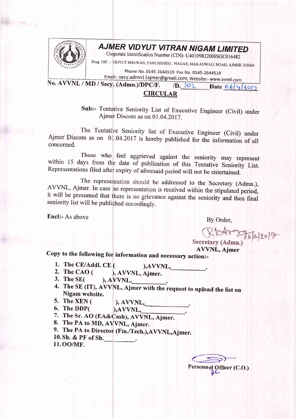

## **AJMER VIDYUT VITRAN NIGAM LIMITED**

Corporate Identification Number (CIN)- U40109RJ2000SGC016482

Resg. Off. :- VIDYUT BHAWAN, PANCHSHEEL NAGAR, MAKADWALI ROAD, AJMER-305004

Phone No. 0145-2644519 Fax No. 0145-2644518 Email:- secy.admn11ajmer@gmail.com, Website:- www.avvnl.com

No. AVVNL / MD / Secy. (Admn.)/DPC/F.  $/D.$   $|O2$  Date  $06|4|40|2$ 

## **CIRCULAR**

Sub:- Tentative Seniority List of Executive Engineer (Civil) under Ajmer Discom as on 01.04.2017.

The Tentative Seniority list of Executive Engineer (Civil) under Ajmer Discom as on 01.04.2017 is hereby published for the information of all concerned.

Those who feel aggrieved against the seniority may represent within 15 days from the date of publication of this Tentative Seniority List. Representations filed after expiry of aforesaid period will not be entertained.

The representation should be addressed to the Secretary (Admn.), AVVNL, Ajmer. In case no representation is received within the stipulated period, it will be presumed that there is no grievance against the seniority and then final seniority list will be published accordingly.

Encl:- As above

By Order.

REGION 36/4/2017

**AVVNL, Aimer** 

Copy to the following for information and necessary action:-

- 1. The CE/Addl. CE (  $AVVNL,$
- 2. The CAO  $($ ), AVVNL, Ajmer.
- 3. The  $SE($  $AVVNL$
- 4. The SE (IT), AVVNL, Ajmer with the request to upload the list on Nigam website.
- 5. The XEN  $($ 
	- $AVVNL$ ,
- 6. The DDP( ), AVVNL, 7. The Sr. AO (EA&Cash), AVVNL, Ajmer.
- 8. The PA to MD, AVVNL, Ajmer.
- 
- 9. The PA to Director (Fin./Tech.), AVVNL, Ajmer. 10. Sh. & PF of Sh.
- 11.00/MF.

Personnel Officer (C.O.)